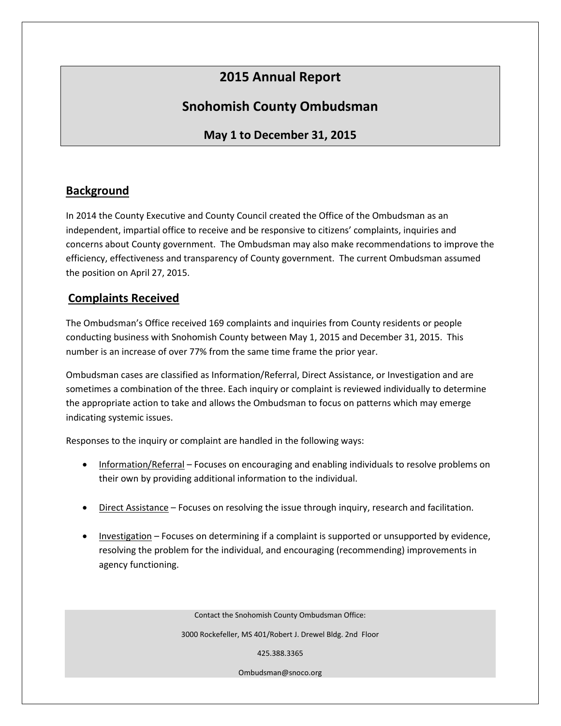# **2015 Annual Report**

## **Snohomish County Ombudsman**

### **May 1 to December 31, 2015**

#### **Background**

In 2014 the County Executive and County Council created the Office of the Ombudsman as an independent, impartial office to receive and be responsive to citizens' complaints, inquiries and concerns about County government. The Ombudsman may also make recommendations to improve the efficiency, effectiveness and transparency of County government. The current Ombudsman assumed the position on April 27, 2015.

#### **Complaints Received**

The Ombudsman's Office received 169 complaints and inquiries from County residents or people conducting business with Snohomish County between May 1, 2015 and December 31, 2015. This number is an increase of over 77% from the same time frame the prior year.

Ombudsman cases are classified as Information/Referral, Direct Assistance, or Investigation and are sometimes a combination of the three. Each inquiry or complaint is reviewed individually to determine the appropriate action to take and allows the Ombudsman to focus on patterns which may emerge indicating systemic issues.

Responses to the inquiry or complaint are handled in the following ways:

- Information/Referral Focuses on encouraging and enabling individuals to resolve problems on their own by providing additional information to the individual.
- Direct Assistance Focuses on resolving the issue through inquiry, research and facilitation.
- Investigation Focuses on determining if a complaint is supported or unsupported by evidence, resolving the problem for the individual, and encouraging (recommending) improvements in agency functioning.

Contact the Snohomish County Ombudsman Office:

3000 Rockefeller, MS 401/Robert J. Drewel Bldg. 2nd Floor

425.388.3365

Ombudsman@snoco.org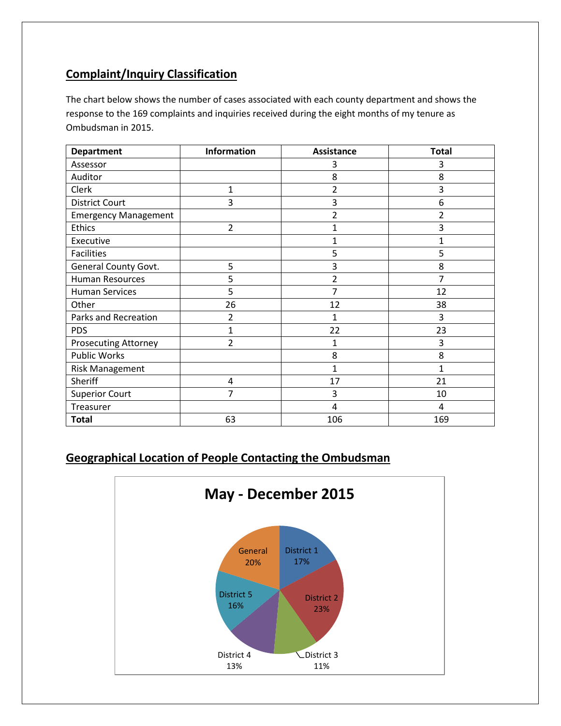### **Complaint/Inquiry Classification**

The chart below shows the number of cases associated with each county department and shows the response to the 169 complaints and inquiries received during the eight months of my tenure as Ombudsman in 2015.

| <b>Department</b>           | <b>Information</b> | <b>Assistance</b> | <b>Total</b> |
|-----------------------------|--------------------|-------------------|--------------|
| Assessor                    |                    | 3                 | 3            |
| Auditor                     |                    | 8                 | 8            |
| Clerk                       | 1                  | 2                 | 3            |
| <b>District Court</b>       | 3                  | 3                 | 6            |
| <b>Emergency Management</b> |                    | 2                 | 2            |
| Ethics                      | $\overline{2}$     | 1                 | 3            |
| Executive                   |                    |                   |              |
| <b>Facilities</b>           |                    | 5                 | 5            |
| General County Govt.        | 5                  | 3                 | 8            |
| <b>Human Resources</b>      | 5                  | 2                 | 7            |
| <b>Human Services</b>       | 5                  | 7                 | 12           |
| Other                       | 26                 | 12                | 38           |
| Parks and Recreation        | $\overline{2}$     | 1                 | 3            |
| <b>PDS</b>                  | 1                  | 22                | 23           |
| <b>Prosecuting Attorney</b> | $\overline{2}$     | 1                 | 3            |
| <b>Public Works</b>         |                    | 8                 | 8            |
| <b>Risk Management</b>      |                    | 1                 | $\mathbf{1}$ |
| Sheriff                     | 4                  | 17                | 21           |
| <b>Superior Court</b>       | 7                  | 3                 | 10           |
| Treasurer                   |                    | 4                 | 4            |
| <b>Total</b>                | 63                 | 106               | 169          |

### **Geographical Location of People Contacting the Ombudsman**